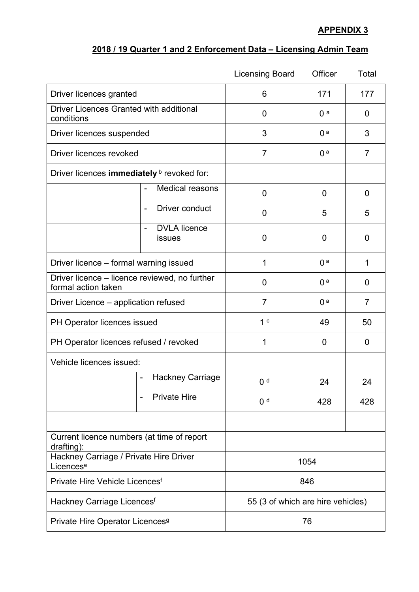## **APPENDIX 3**

## **2018 / 19 Quarter 1 and 2 Enforcement Data – Licensing Admin Team**

|                                                                      |                                                     | <b>Licensing Board</b>            | Officer        | Total          |
|----------------------------------------------------------------------|-----------------------------------------------------|-----------------------------------|----------------|----------------|
| Driver licences granted                                              |                                                     | 6                                 | 171            | 177            |
| <b>Driver Licences Granted with additional</b><br>conditions         |                                                     | $\overline{0}$                    | 0a             | 0              |
| Driver licences suspended                                            |                                                     | 3                                 | 0 <sup>a</sup> | 3              |
| Driver licences revoked                                              |                                                     | $\overline{7}$                    | 0 <sup>a</sup> | $\overline{7}$ |
| Driver licences immediately <b>b</b> revoked for:                    |                                                     |                                   |                |                |
|                                                                      | <b>Medical reasons</b>                              | $\overline{0}$                    | $\mathbf 0$    | $\overline{0}$ |
|                                                                      | Driver conduct<br>$\overline{\phantom{a}}$          | $\overline{0}$                    | 5              | 5              |
|                                                                      | <b>DVLA</b> licence<br>$\blacksquare$<br>issues     | 0                                 | 0              | 0              |
| Driver licence - formal warning issued                               |                                                     | 1                                 | 0 <sup>a</sup> | 1              |
| Driver licence – licence reviewed, no further<br>formal action taken |                                                     | $\overline{0}$                    | 0 <sup>a</sup> | $\overline{0}$ |
| Driver Licence – application refused                                 |                                                     | $\overline{7}$                    | 0 <sup>a</sup> | $\overline{7}$ |
| PH Operator licences issued                                          |                                                     | 1 <sup>c</sup>                    | 49             | 50             |
| PH Operator licences refused / revoked                               |                                                     | 1                                 | 0              | $\overline{0}$ |
| Vehicle licences issued:                                             |                                                     |                                   |                |                |
|                                                                      | <b>Hackney Carriage</b><br>$\overline{\phantom{a}}$ | 0 <sup>d</sup>                    | 24             | 24             |
|                                                                      | <b>Private Hire</b>                                 | 0 <sup>d</sup>                    | 428            | 428            |
|                                                                      |                                                     |                                   |                |                |
| Current licence numbers (at time of report<br>drafting):             |                                                     |                                   |                |                |
| Hackney Carriage / Private Hire Driver<br>Licences <sup>e</sup>      |                                                     | 1054                              |                |                |
| Private Hire Vehicle Licences <sup>f</sup>                           |                                                     | 846                               |                |                |
| Hackney Carriage Licences <sup>f</sup>                               |                                                     | 55 (3 of which are hire vehicles) |                |                |
| Private Hire Operator Licences <sup>9</sup>                          |                                                     | 76                                |                |                |